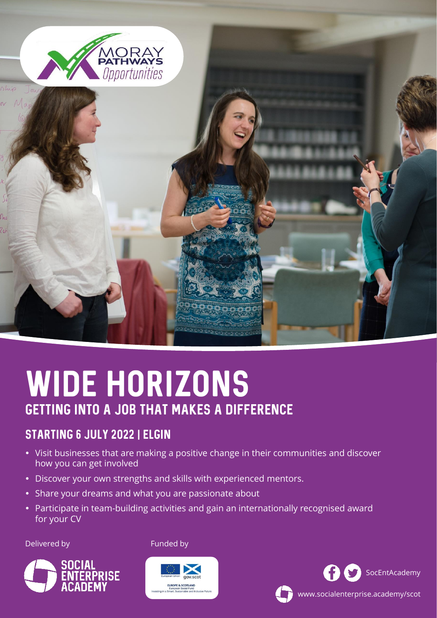

# WIDE HORIZONS getting into a job that makes a difference

### STARTING 6 JULY 2022 | ELGIN

- Visit businesses that are making a positive change in their communities and discover how you can get involved
- Discover your own strengths and skills with experienced mentors.
- Share your dreams and what you are passionate about
- Participate in team-building activities and gain an internationally recognised award for your CV

#### Delivered by



Funded by





www.socialenterprise.academy/scot